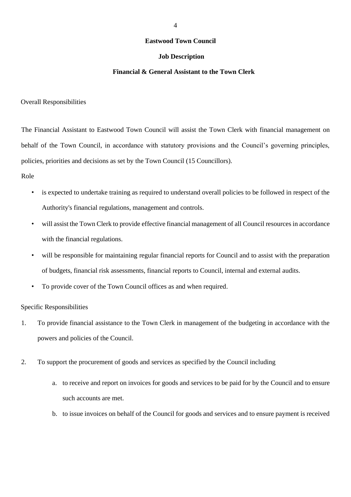## **Eastwood Town Council**

## **Job Description**

## **Financial & General Assistant to the Town Clerk**

Overall Responsibilities

The Financial Assistant to Eastwood Town Council will assist the Town Clerk with financial management on behalf of the Town Council, in accordance with statutory provisions and the Council's governing principles, policies, priorities and decisions as set by the Town Council (15 Councillors).

Role

- is expected to undertake training as required to understand overall policies to be followed in respect of the Authority's financial regulations, management and controls.
- will assist the Town Clerk to provide effective financial management of all Council resources in accordance with the financial regulations.
- will be responsible for maintaining regular financial reports for Council and to assist with the preparation of budgets, financial risk assessments, financial reports to Council, internal and external audits.
- To provide cover of the Town Council offices as and when required.

Specific Responsibilities

- 1. To provide financial assistance to the Town Clerk in management of the budgeting in accordance with the powers and policies of the Council.
- 2. To support the procurement of goods and services as specified by the Council including
	- a. to receive and report on invoices for goods and services to be paid for by the Council and to ensure such accounts are met.
	- b. to issue invoices on behalf of the Council for goods and services and to ensure payment is received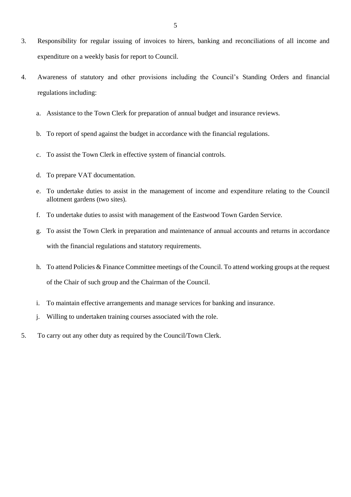- 3. Responsibility for regular issuing of invoices to hirers, banking and reconciliations of all income and expenditure on a weekly basis for report to Council.
- 4. Awareness of statutory and other provisions including the Council's Standing Orders and financial regulations including:
	- a. Assistance to the Town Clerk for preparation of annual budget and insurance reviews.
	- b. To report of spend against the budget in accordance with the financial regulations.
	- c. To assist the Town Clerk in effective system of financial controls.
	- d. To prepare VAT documentation.
	- e. To undertake duties to assist in the management of income and expenditure relating to the Council allotment gardens (two sites).
	- f. To undertake duties to assist with management of the Eastwood Town Garden Service.
	- g. To assist the Town Clerk in preparation and maintenance of annual accounts and returns in accordance with the financial regulations and statutory requirements.
	- h. To attend Policies & Finance Committee meetings of the Council. To attend working groups at the request of the Chair of such group and the Chairman of the Council.
	- i. To maintain effective arrangements and manage services for banking and insurance.
	- j. Willing to undertaken training courses associated with the role.
- 5. To carry out any other duty as required by the Council/Town Clerk.